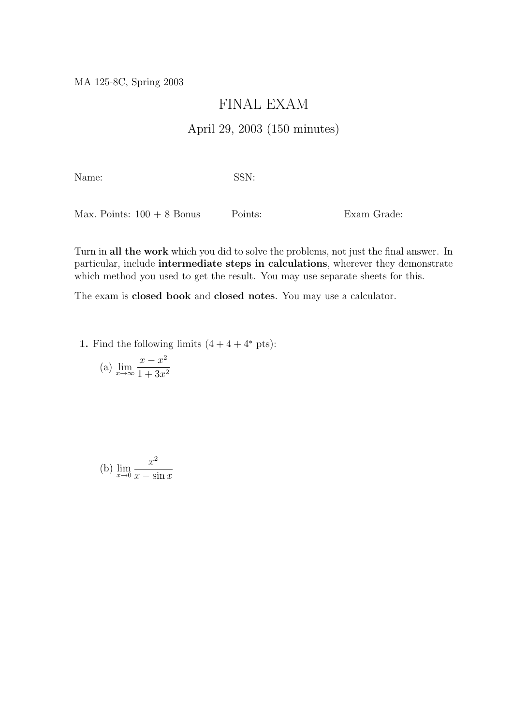MA 125-8C, Spring 2003

## FINAL EXAM

## April 29, 2003 (150 minutes)

Name: SSN:

Max. Points:  $100 + 8$  Bonus Points: Exam Grade:

Turn in all the work which you did to solve the problems, not just the final answer. In particular, include intermediate steps in calculations, wherever they demonstrate which method you used to get the result. You may use separate sheets for this.

The exam is closed book and closed notes. You may use a calculator.

1. Find the following limits  $(4 + 4 + 4^*)$ rts):

(a) 
$$
\lim_{x \to \infty} \frac{x - x^2}{1 + 3x^2}
$$

(b) 
$$
\lim_{x \to 0} \frac{x^2}{x - \sin x}
$$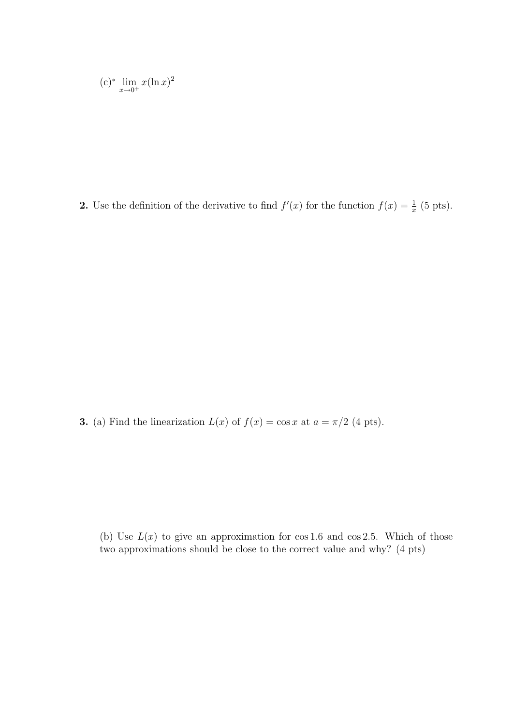$$
(c)^* \lim_{x \to 0^+} x(\ln x)^2
$$

**2.** Use the definition of the derivative to find  $f'(x)$  for the function  $f(x) = \frac{1}{x}$  (5 pts).

**3.** (a) Find the linearization  $L(x)$  of  $f(x) = \cos x$  at  $a = \pi/2$  (4 pts).

(b) Use  $L(x)$  to give an approximation for cos 1.6 and cos 2.5. Which of those two approximations should be close to the correct value and why? (4 pts)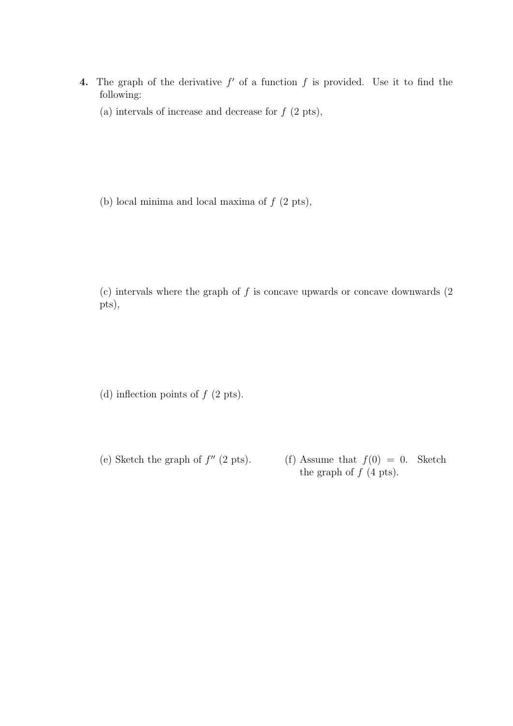- 4. The graph of the derivative  $f'$  of a function  $f$  is provided. Use it to find the following:
	- (a) intervals of increase and decrease for  $f(2 \text{ pts}),$

(b) local minima and local maxima of  $f(2 \text{ pts}),$ 

(c) intervals where the graph of  $f$  is concave upwards or concave downwards  $(2)$ pts),

(d) inflection points of  $f$  (2 pts).

(e) Sketch the graph of  $f''$  (2 pts). (f) Assume that  $f(0) = 0$ . Sketch the graph of  $f$  (4 pts).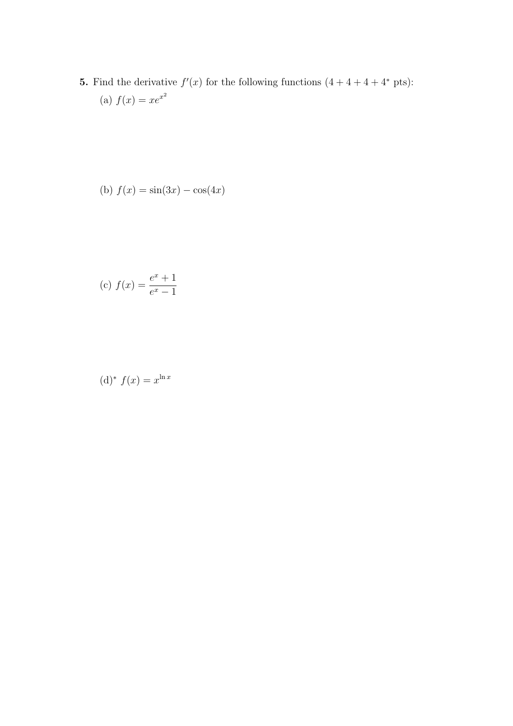**5.** Find the derivative  $f'(x)$  for the following functions  $(4 + 4 + 4 + 4^*)$  pts): (a)  $f(x) = xe^{x^2}$ 

(b) 
$$
f(x) = \sin(3x) - \cos(4x)
$$

(c) 
$$
f(x) = \frac{e^x + 1}{e^x - 1}
$$

$$
(\mathrm{d})^* f(x) = x^{\ln x}
$$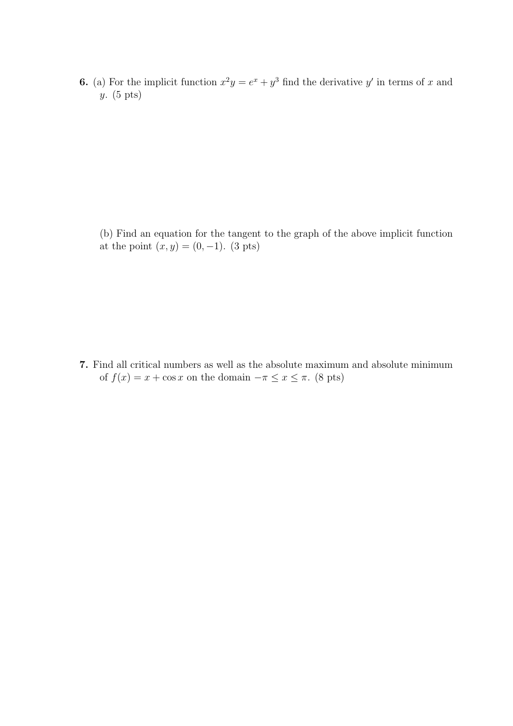**6.** (a) For the implicit function  $x^2y = e^x + y^3$  find the derivative y' in terms of x and y. (5 pts)

(b) Find an equation for the tangent to the graph of the above implicit function at the point  $(x, y) = (0, -1)$ . (3 pts)

7. Find all critical numbers as well as the absolute maximum and absolute minimum of  $f(x) = x + \cos x$  on the domain  $-\pi \le x \le \pi$ . (8 pts)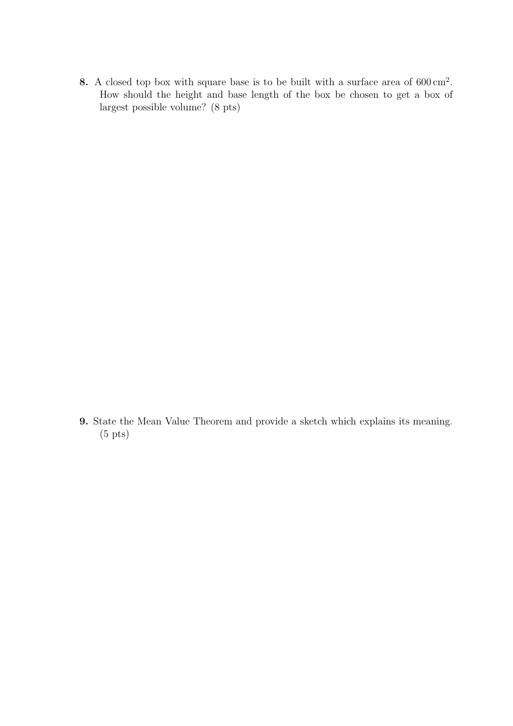8. A closed top box with square base is to be built with a surface area of  $600 \text{ cm}^2$ . How should the height and base length of the box be chosen to get a box of largest possible volume? (8 pts)

9. State the Mean Value Theorem and provide a sketch which explains its meaning. (5 pts)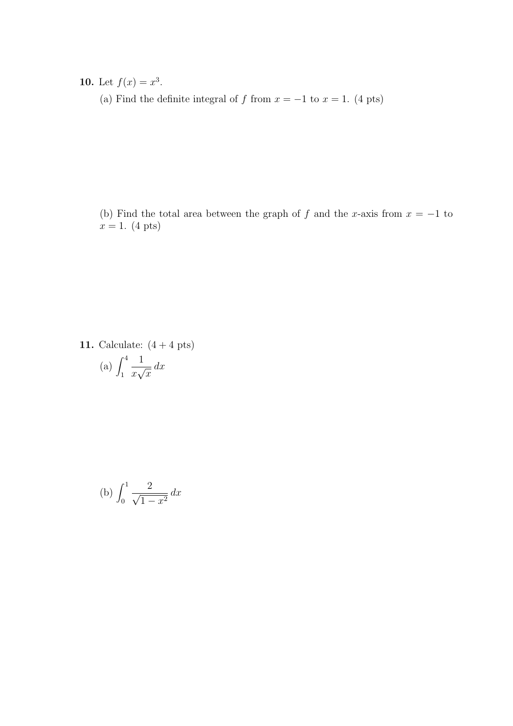10. Let  $f(x) = x^3$ .

(a) Find the definite integral of f from  $x = -1$  to  $x = 1$ . (4 pts)

(b) Find the total area between the graph of f and the x-axis from  $x = -1$  to  $x = 1.$  (4 pts)

11. Calculate:  $(4 + 4 \text{ pts})$ (a)  $\int_1^4$ 1  $\overline{x}$  $\frac{1}{\sqrt{2}}$  $\overline{x}$  $dx$ 

(b) 
$$
\int_0^1 \frac{2}{\sqrt{1-x^2}} dx
$$